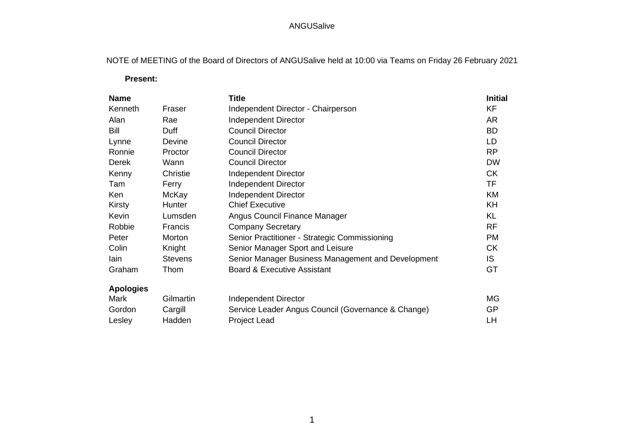NOTE of MEETING of the Board of Directors of ANGUSalive held at 10:00 via Teams on Friday 26 February 2021

 **Present:**

| <b>Name</b>      |                | <b>Title</b>                                       | <b>Initial</b> |
|------------------|----------------|----------------------------------------------------|----------------|
| Kenneth          | Fraser         | Independent Director - Chairperson                 | KF             |
| Alan             | Rae            | Independent Director                               | <b>AR</b>      |
| Bill             | Duff           | <b>Council Director</b>                            | <b>BD</b>      |
| Lynne            | Devine         | <b>Council Director</b>                            | LD             |
| Ronnie           | Proctor        | <b>Council Director</b>                            | <b>RP</b>      |
| <b>Derek</b>     | Wann           | <b>Council Director</b>                            | <b>DW</b>      |
| Kenny            | Christie       | Independent Director                               | <b>CK</b>      |
| Tam              | Ferry          | <b>Independent Director</b>                        | <b>TF</b>      |
| Ken              | McKay          | Independent Director                               | KM             |
| Kirsty           | Hunter         | <b>Chief Executive</b>                             | <b>KH</b>      |
| Kevin            | Lumsden        | Angus Council Finance Manager                      | <b>KL</b>      |
| Robbie           | Francis        | <b>Company Secretary</b>                           | <b>RF</b>      |
| Peter            | Morton         | Senior Practitioner - Strategic Commissioning      | <b>PM</b>      |
| Colin            | Knight         | Senior Manager Sport and Leisure                   | <b>CK</b>      |
| lain             | <b>Stevens</b> | Senior Manager Business Management and Development | IS.            |
| Graham           | Thom           | <b>Board &amp; Executive Assistant</b>             | GT             |
| <b>Apologies</b> |                |                                                    |                |
| Mark             | Gilmartin      | Independent Director                               | MG             |
| Gordon           | Cargill        | Service Leader Angus Council (Governance & Change) | <b>GP</b>      |
| Lesley           | Hadden         | <b>Project Lead</b>                                | LH             |
|                  |                |                                                    |                |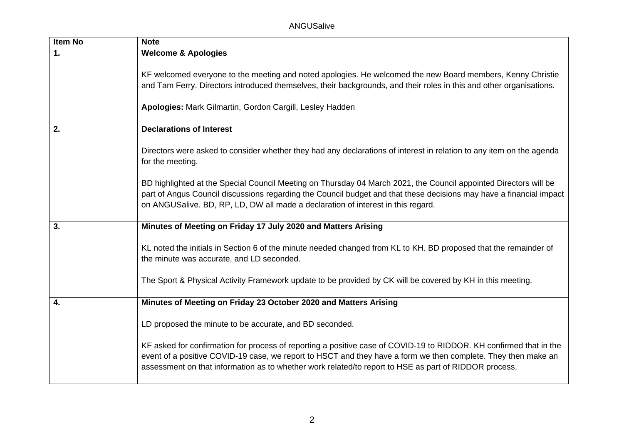| Item No       | <b>Note</b>                                                                                                                                                                                                                                                                                                                                  |
|---------------|----------------------------------------------------------------------------------------------------------------------------------------------------------------------------------------------------------------------------------------------------------------------------------------------------------------------------------------------|
| $\mathbf 1$ . | <b>Welcome &amp; Apologies</b>                                                                                                                                                                                                                                                                                                               |
|               | KF welcomed everyone to the meeting and noted apologies. He welcomed the new Board members, Kenny Christie<br>and Tam Ferry. Directors introduced themselves, their backgrounds, and their roles in this and other organisations.<br>Apologies: Mark Gilmartin, Gordon Cargill, Lesley Hadden                                                |
| 2.            | <b>Declarations of Interest</b>                                                                                                                                                                                                                                                                                                              |
|               | Directors were asked to consider whether they had any declarations of interest in relation to any item on the agenda<br>for the meeting.                                                                                                                                                                                                     |
|               | BD highlighted at the Special Council Meeting on Thursday 04 March 2021, the Council appointed Directors will be<br>part of Angus Council discussions regarding the Council budget and that these decisions may have a financial impact<br>on ANGUSalive. BD, RP, LD, DW all made a declaration of interest in this regard.                  |
| 3.            | Minutes of Meeting on Friday 17 July 2020 and Matters Arising                                                                                                                                                                                                                                                                                |
|               | KL noted the initials in Section 6 of the minute needed changed from KL to KH. BD proposed that the remainder of<br>the minute was accurate, and LD seconded.                                                                                                                                                                                |
|               | The Sport & Physical Activity Framework update to be provided by CK will be covered by KH in this meeting.                                                                                                                                                                                                                                   |
| 4.            | Minutes of Meeting on Friday 23 October 2020 and Matters Arising                                                                                                                                                                                                                                                                             |
|               | LD proposed the minute to be accurate, and BD seconded.                                                                                                                                                                                                                                                                                      |
|               | KF asked for confirmation for process of reporting a positive case of COVID-19 to RIDDOR. KH confirmed that in the<br>event of a positive COVID-19 case, we report to HSCT and they have a form we then complete. They then make an<br>assessment on that information as to whether work related/to report to HSE as part of RIDDOR process. |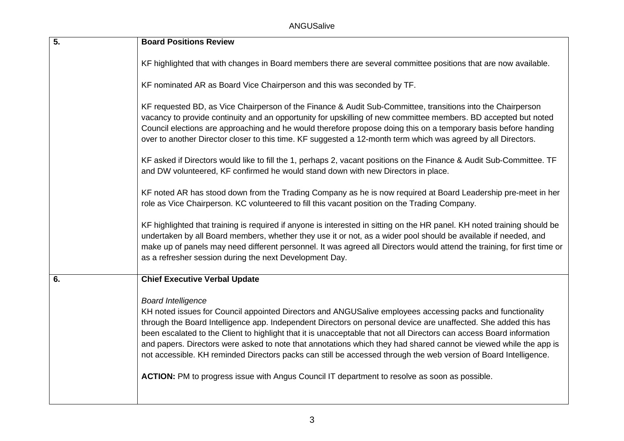| $\overline{5}$ . | <b>Board Positions Review</b>                                                                                                                                                                                                                                                                                                                                                                                                                                                                                                                                                                                                                                                                                                 |
|------------------|-------------------------------------------------------------------------------------------------------------------------------------------------------------------------------------------------------------------------------------------------------------------------------------------------------------------------------------------------------------------------------------------------------------------------------------------------------------------------------------------------------------------------------------------------------------------------------------------------------------------------------------------------------------------------------------------------------------------------------|
|                  | KF highlighted that with changes in Board members there are several committee positions that are now available.                                                                                                                                                                                                                                                                                                                                                                                                                                                                                                                                                                                                               |
|                  | KF nominated AR as Board Vice Chairperson and this was seconded by TF.                                                                                                                                                                                                                                                                                                                                                                                                                                                                                                                                                                                                                                                        |
|                  | KF requested BD, as Vice Chairperson of the Finance & Audit Sub-Committee, transitions into the Chairperson<br>vacancy to provide continuity and an opportunity for upskilling of new committee members. BD accepted but noted<br>Council elections are approaching and he would therefore propose doing this on a temporary basis before handing<br>over to another Director closer to this time. KF suggested a 12-month term which was agreed by all Directors.                                                                                                                                                                                                                                                            |
|                  | KF asked if Directors would like to fill the 1, perhaps 2, vacant positions on the Finance & Audit Sub-Committee. TF<br>and DW volunteered, KF confirmed he would stand down with new Directors in place.                                                                                                                                                                                                                                                                                                                                                                                                                                                                                                                     |
|                  | KF noted AR has stood down from the Trading Company as he is now required at Board Leadership pre-meet in her<br>role as Vice Chairperson. KC volunteered to fill this vacant position on the Trading Company.                                                                                                                                                                                                                                                                                                                                                                                                                                                                                                                |
|                  | KF highlighted that training is required if anyone is interested in sitting on the HR panel. KH noted training should be<br>undertaken by all Board members, whether they use it or not, as a wider pool should be available if needed, and<br>make up of panels may need different personnel. It was agreed all Directors would attend the training, for first time or<br>as a refresher session during the next Development Day.                                                                                                                                                                                                                                                                                            |
| 6.               | <b>Chief Executive Verbal Update</b>                                                                                                                                                                                                                                                                                                                                                                                                                                                                                                                                                                                                                                                                                          |
|                  | <b>Board Intelligence</b><br>KH noted issues for Council appointed Directors and ANGUSalive employees accessing packs and functionality<br>through the Board Intelligence app. Independent Directors on personal device are unaffected. She added this has<br>been escalated to the Client to highlight that it is unacceptable that not all Directors can access Board information<br>and papers. Directors were asked to note that annotations which they had shared cannot be viewed while the app is<br>not accessible. KH reminded Directors packs can still be accessed through the web version of Board Intelligence.<br>ACTION: PM to progress issue with Angus Council IT department to resolve as soon as possible. |
|                  |                                                                                                                                                                                                                                                                                                                                                                                                                                                                                                                                                                                                                                                                                                                               |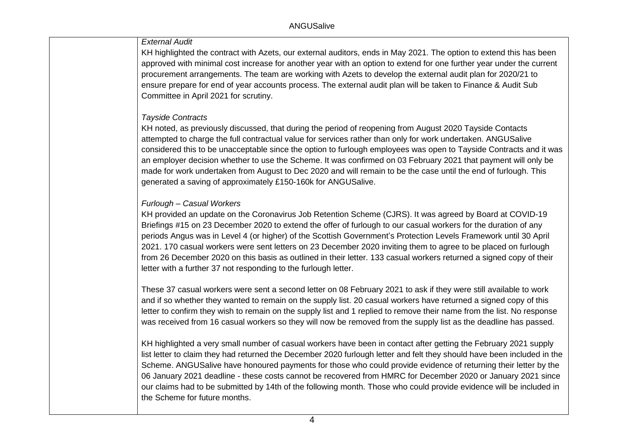### *External Audit*

KH highlighted the contract with Azets, our external auditors, ends in May 2021. The option to extend this has been approved with minimal cost increase for another year with an option to extend for one further year under the current procurement arrangements. The team are working with Azets to develop the external audit plan for 2020/21 to ensure prepare for end of year accounts process. The external audit plan will be taken to Finance & Audit Sub Committee in April 2021 for scrutiny.

#### *Tayside Contracts*

KH noted, as previously discussed, that during the period of reopening from August 2020 Tayside Contacts attempted to charge the full contractual value for services rather than only for work undertaken. ANGUSalive considered this to be unacceptable since the option to furlough employees was open to Tayside Contracts and it was an employer decision whether to use the Scheme. It was confirmed on 03 February 2021 that payment will only be made for work undertaken from August to Dec 2020 and will remain to be the case until the end of furlough. This generated a saving of approximately £150-160k for ANGUSalive.

### *Furlough – Casual Workers*

KH provided an update on the Coronavirus Job Retention Scheme (CJRS). It was agreed by Board at COVID-19 Briefings #15 on 23 December 2020 to extend the offer of furlough to our casual workers for the duration of any periods Angus was in Level 4 (or higher) of the Scottish Government's Protection Levels Framework until 30 April 2021. 170 casual workers were sent letters on 23 December 2020 inviting them to agree to be placed on furlough from 26 December 2020 on this basis as outlined in their letter. 133 casual workers returned a signed copy of their letter with a further 37 not responding to the furlough letter.

These 37 casual workers were sent a second letter on 08 February 2021 to ask if they were still available to work and if so whether they wanted to remain on the supply list. 20 casual workers have returned a signed copy of this letter to confirm they wish to remain on the supply list and 1 replied to remove their name from the list. No response was received from 16 casual workers so they will now be removed from the supply list as the deadline has passed.

KH highlighted a very small number of casual workers have been in contact after getting the February 2021 supply list letter to claim they had returned the December 2020 furlough letter and felt they should have been included in the Scheme. ANGUSalive have honoured payments for those who could provide evidence of returning their letter by the 06 January 2021 deadline - these costs cannot be recovered from HMRC for December 2020 or January 2021 since our claims had to be submitted by 14th of the following month. Those who could provide evidence will be included in the Scheme for future months.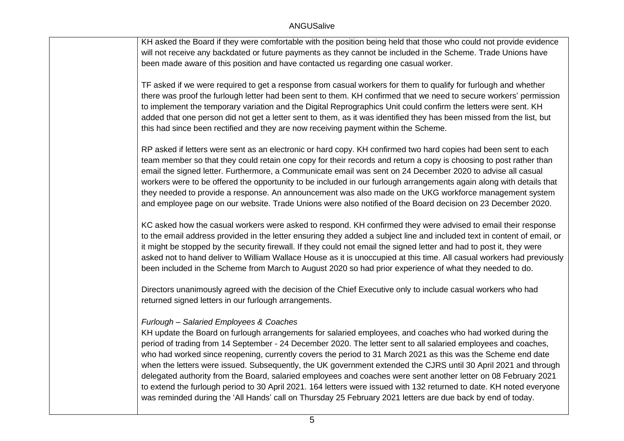KH asked the Board if they were comfortable with the position being held that those who could not provide evidence will not receive any backdated or future payments as they cannot be included in the Scheme. Trade Unions have been made aware of this position and have contacted us regarding one casual worker.

TF asked if we were required to get a response from casual workers for them to qualify for furlough and whether there was proof the furlough letter had been sent to them. KH confirmed that we need to secure workers' permission to implement the temporary variation and the Digital Reprographics Unit could confirm the letters were sent. KH added that one person did not get a letter sent to them, as it was identified they has been missed from the list, but this had since been rectified and they are now receiving payment within the Scheme.

RP asked if letters were sent as an electronic or hard copy. KH confirmed two hard copies had been sent to each team member so that they could retain one copy for their records and return a copy is choosing to post rather than email the signed letter. Furthermore, a Communicate email was sent on 24 December 2020 to advise all casual workers were to be offered the opportunity to be included in our furlough arrangements again along with details that they needed to provide a response. An announcement was also made on the UKG workforce management system and employee page on our website. Trade Unions were also notified of the Board decision on 23 December 2020.

KC asked how the casual workers were asked to respond. KH confirmed they were advised to email their response to the email address provided in the letter ensuring they added a subject line and included text in content of email, or it might be stopped by the security firewall. If they could not email the signed letter and had to post it, they were asked not to hand deliver to William Wallace House as it is unoccupied at this time. All casual workers had previously been included in the Scheme from March to August 2020 so had prior experience of what they needed to do.

Directors unanimously agreed with the decision of the Chief Executive only to include casual workers who had returned signed letters in our furlough arrangements.

#### *Furlough – Salaried Employees & Coaches*

KH update the Board on furlough arrangements for salaried employees, and coaches who had worked during the period of trading from 14 September - 24 December 2020. The letter sent to all salaried employees and coaches, who had worked since reopening, currently covers the period to 31 March 2021 as this was the Scheme end date when the letters were issued. Subsequently, the UK government extended the CJRS until 30 April 2021 and through delegated authority from the Board, salaried employees and coaches were sent another letter on 08 February 2021 to extend the furlough period to 30 April 2021. 164 letters were issued with 132 returned to date. KH noted everyone was reminded during the 'All Hands' call on Thursday 25 February 2021 letters are due back by end of today.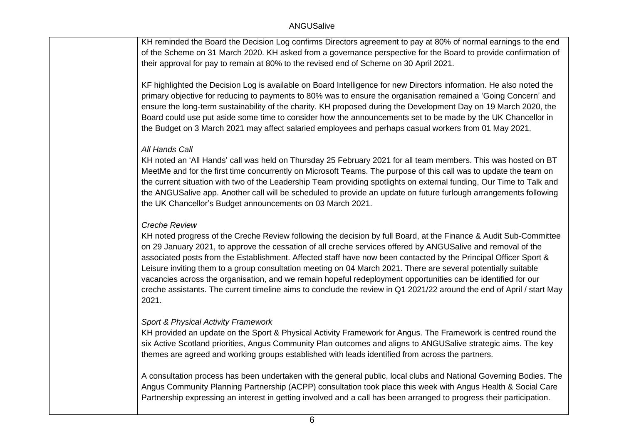KH reminded the Board the Decision Log confirms Directors agreement to pay at 80% of normal earnings to the end of the Scheme on 31 March 2020. KH asked from a governance perspective for the Board to provide confirmation of their approval for pay to remain at 80% to the revised end of Scheme on 30 April 2021.

KF highlighted the Decision Log is available on Board Intelligence for new Directors information. He also noted the primary objective for reducing to payments to 80% was to ensure the organisation remained a 'Going Concern' and ensure the long-term sustainability of the charity. KH proposed during the Development Day on 19 March 2020, the Board could use put aside some time to consider how the announcements set to be made by the UK Chancellor in the Budget on 3 March 2021 may affect salaried employees and perhaps casual workers from 01 May 2021.

# *All Hands Call*

KH noted an 'All Hands' call was held on Thursday 25 February 2021 for all team members. This was hosted on BT MeetMe and for the first time concurrently on Microsoft Teams. The purpose of this call was to update the team on the current situation with two of the Leadership Team providing spotlights on external funding, Our Time to Talk and the ANGUSalive app. Another call will be scheduled to provide an update on future furlough arrangements following the UK Chancellor's Budget announcements on 03 March 2021.

## *Creche Review*

KH noted progress of the Creche Review following the decision by full Board, at the Finance & Audit Sub-Committee on 29 January 2021, to approve the cessation of all creche services offered by ANGUSalive and removal of the associated posts from the Establishment. Affected staff have now been contacted by the Principal Officer Sport & Leisure inviting them to a group consultation meeting on 04 March 2021. There are several potentially suitable vacancies across the organisation, and we remain hopeful redeployment opportunities can be identified for our creche assistants. The current timeline aims to conclude the review in Q1 2021/22 around the end of April / start May 2021.

## *Sport & Physical Activity Framework*

KH provided an update on the Sport & Physical Activity Framework for Angus. The Framework is centred round the six Active Scotland priorities, Angus Community Plan outcomes and aligns to ANGUSalive strategic aims. The key themes are agreed and working groups established with leads identified from across the partners.

A consultation process has been undertaken with the general public, local clubs and National Governing Bodies. The Angus Community Planning Partnership (ACPP) consultation took place this week with Angus Health & Social Care Partnership expressing an interest in getting involved and a call has been arranged to progress their participation.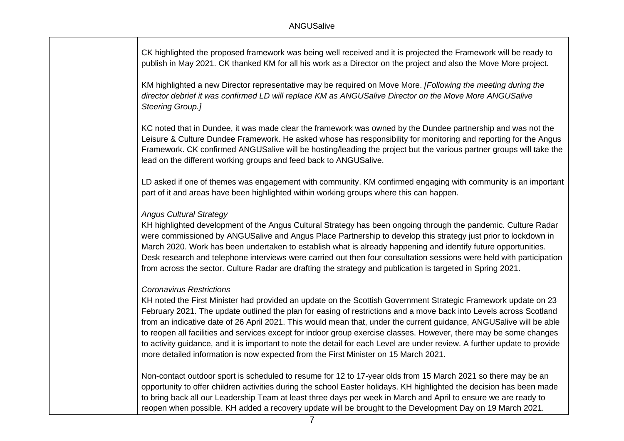CK highlighted the proposed framework was being well received and it is projected the Framework will be ready to publish in May 2021. CK thanked KM for all his work as a Director on the project and also the Move More project.

KM highlighted a new Director representative may be required on Move More. *[Following the meeting during the director debrief it was confirmed LD will replace KM as ANGUSalive Director on the Move More ANGUSalive Steering Group.]*

KC noted that in Dundee, it was made clear the framework was owned by the Dundee partnership and was not the Leisure & Culture Dundee Framework. He asked whose has responsibility for monitoring and reporting for the Angus Framework. CK confirmed ANGUSalive will be hosting/leading the project but the various partner groups will take the lead on the different working groups and feed back to ANGUSalive.

LD asked if one of themes was engagement with community. KM confirmed engaging with community is an important part of it and areas have been highlighted within working groups where this can happen.

#### *Angus Cultural Strategy*

KH highlighted development of the Angus Cultural Strategy has been ongoing through the pandemic. Culture Radar were commissioned by ANGUSalive and Angus Place Partnership to develop this strategy just prior to lockdown in March 2020. Work has been undertaken to establish what is already happening and identify future opportunities. Desk research and telephone interviews were carried out then four consultation sessions were held with participation from across the sector. Culture Radar are drafting the strategy and publication is targeted in Spring 2021.

#### *Coronavirus Restrictions*

KH noted the First Minister had provided an update on the Scottish Government Strategic Framework update on 23 February 2021. The update outlined the plan for easing of restrictions and a move back into Levels across Scotland from an indicative date of 26 April 2021. This would mean that, under the current guidance, ANGUSalive will be able to reopen all facilities and services except for indoor group exercise classes. However, there may be some changes to activity guidance, and it is important to note the detail for each Level are under review. A further update to provide more detailed information is now expected from the First Minister on 15 March 2021.

Non-contact outdoor sport is scheduled to resume for 12 to 17-year olds from 15 March 2021 so there may be an opportunity to offer children activities during the school Easter holidays. KH highlighted the decision has been made to bring back all our Leadership Team at least three days per week in March and April to ensure we are ready to reopen when possible. KH added a recovery update will be brought to the Development Day on 19 March 2021.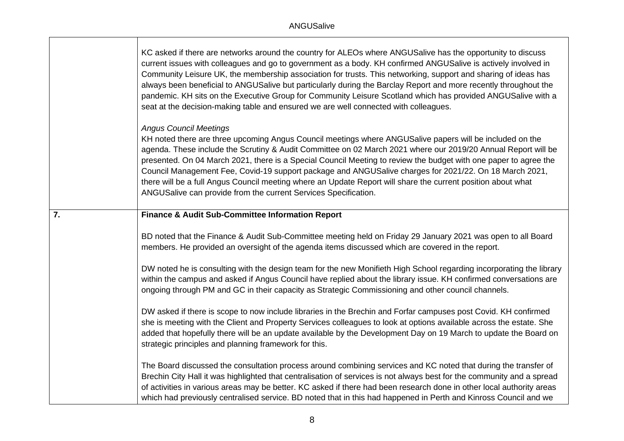|    | KC asked if there are networks around the country for ALEOs where ANGUSalive has the opportunity to discuss<br>current issues with colleagues and go to government as a body. KH confirmed ANGUSalive is actively involved in<br>Community Leisure UK, the membership association for trusts. This networking, support and sharing of ideas has<br>always been beneficial to ANGUSalive but particularly during the Barclay Report and more recently throughout the<br>pandemic. KH sits on the Executive Group for Community Leisure Scotland which has provided ANGUSalive with a<br>seat at the decision-making table and ensured we are well connected with colleagues. |
|----|-----------------------------------------------------------------------------------------------------------------------------------------------------------------------------------------------------------------------------------------------------------------------------------------------------------------------------------------------------------------------------------------------------------------------------------------------------------------------------------------------------------------------------------------------------------------------------------------------------------------------------------------------------------------------------|
|    | <b>Angus Council Meetings</b><br>KH noted there are three upcoming Angus Council meetings where ANGUSalive papers will be included on the<br>agenda. These include the Scrutiny & Audit Committee on 02 March 2021 where our 2019/20 Annual Report will be<br>presented. On 04 March 2021, there is a Special Council Meeting to review the budget with one paper to agree the<br>Council Management Fee, Covid-19 support package and ANGUSalive charges for 2021/22. On 18 March 2021,<br>there will be a full Angus Council meeting where an Update Report will share the current position about what<br>ANGUSalive can provide from the current Services Specification. |
| 7. | <b>Finance &amp; Audit Sub-Committee Information Report</b>                                                                                                                                                                                                                                                                                                                                                                                                                                                                                                                                                                                                                 |
|    | BD noted that the Finance & Audit Sub-Committee meeting held on Friday 29 January 2021 was open to all Board<br>members. He provided an oversight of the agenda items discussed which are covered in the report.                                                                                                                                                                                                                                                                                                                                                                                                                                                            |
|    | DW noted he is consulting with the design team for the new Monifieth High School regarding incorporating the library<br>within the campus and asked if Angus Council have replied about the library issue. KH confirmed conversations are<br>ongoing through PM and GC in their capacity as Strategic Commissioning and other council channels.                                                                                                                                                                                                                                                                                                                             |
|    | DW asked if there is scope to now include libraries in the Brechin and Forfar campuses post Covid. KH confirmed<br>she is meeting with the Client and Property Services colleagues to look at options available across the estate. She<br>added that hopefully there will be an update available by the Development Day on 19 March to update the Board on<br>strategic principles and planning framework for this.                                                                                                                                                                                                                                                         |
|    | The Board discussed the consultation process around combining services and KC noted that during the transfer of<br>Brechin City Hall it was highlighted that centralisation of services is not always best for the community and a spread<br>of activities in various areas may be better. KC asked if there had been research done in other local authority areas<br>which had previously centralised service. BD noted that in this had happened in Perth and Kinross Council and we                                                                                                                                                                                      |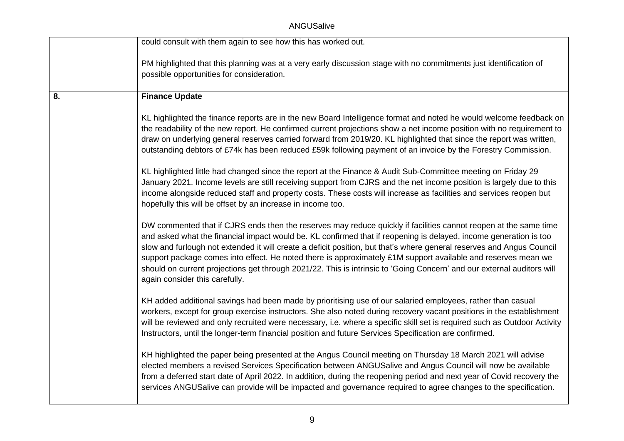ANGUSalive

|    | could consult with them again to see how this has worked out.                                                                                                                                                                                                                                                                                                                                                                                                                                                                                                                                                                               |
|----|---------------------------------------------------------------------------------------------------------------------------------------------------------------------------------------------------------------------------------------------------------------------------------------------------------------------------------------------------------------------------------------------------------------------------------------------------------------------------------------------------------------------------------------------------------------------------------------------------------------------------------------------|
|    | PM highlighted that this planning was at a very early discussion stage with no commitments just identification of<br>possible opportunities for consideration.                                                                                                                                                                                                                                                                                                                                                                                                                                                                              |
| 8. | <b>Finance Update</b>                                                                                                                                                                                                                                                                                                                                                                                                                                                                                                                                                                                                                       |
|    | KL highlighted the finance reports are in the new Board Intelligence format and noted he would welcome feedback on<br>the readability of the new report. He confirmed current projections show a net income position with no requirement to<br>draw on underlying general reserves carried forward from 2019/20. KL highlighted that since the report was written,<br>outstanding debtors of £74k has been reduced £59k following payment of an invoice by the Forestry Commission.                                                                                                                                                         |
|    | KL highlighted little had changed since the report at the Finance & Audit Sub-Committee meeting on Friday 29<br>January 2021. Income levels are still receiving support from CJRS and the net income position is largely due to this<br>income alongside reduced staff and property costs. These costs will increase as facilities and services reopen but<br>hopefully this will be offset by an increase in income too.                                                                                                                                                                                                                   |
|    | DW commented that if CJRS ends then the reserves may reduce quickly if facilities cannot reopen at the same time<br>and asked what the financial impact would be. KL confirmed that if reopening is delayed, income generation is too<br>slow and furlough not extended it will create a deficit position, but that's where general reserves and Angus Council<br>support package comes into effect. He noted there is approximately £1M support available and reserves mean we<br>should on current projections get through 2021/22. This is intrinsic to 'Going Concern' and our external auditors will<br>again consider this carefully. |
|    | KH added additional savings had been made by prioritising use of our salaried employees, rather than casual<br>workers, except for group exercise instructors. She also noted during recovery vacant positions in the establishment<br>will be reviewed and only recruited were necessary, i.e. where a specific skill set is required such as Outdoor Activity<br>Instructors, until the longer-term financial position and future Services Specification are confirmed.                                                                                                                                                                   |
|    | KH highlighted the paper being presented at the Angus Council meeting on Thursday 18 March 2021 will advise<br>elected members a revised Services Specification between ANGUSalive and Angus Council will now be available<br>from a deferred start date of April 2022. In addition, during the reopening period and next year of Covid recovery the<br>services ANGUSalive can provide will be impacted and governance required to agree changes to the specification.                                                                                                                                                                     |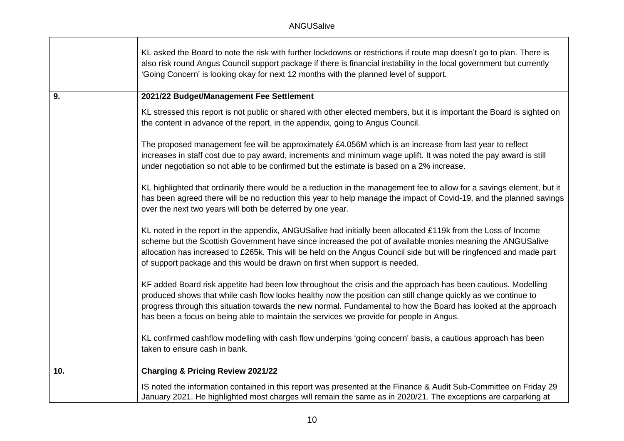|     | KL asked the Board to note the risk with further lockdowns or restrictions if route map doesn't go to plan. There is<br>also risk round Angus Council support package if there is financial instability in the local government but currently<br>'Going Concern' is looking okay for next 12 months with the planned level of support.                                                                                                       |
|-----|----------------------------------------------------------------------------------------------------------------------------------------------------------------------------------------------------------------------------------------------------------------------------------------------------------------------------------------------------------------------------------------------------------------------------------------------|
| 9.  | 2021/22 Budget/Management Fee Settlement                                                                                                                                                                                                                                                                                                                                                                                                     |
|     | KL stressed this report is not public or shared with other elected members, but it is important the Board is sighted on<br>the content in advance of the report, in the appendix, going to Angus Council.                                                                                                                                                                                                                                    |
|     | The proposed management fee will be approximately £4.056M which is an increase from last year to reflect<br>increases in staff cost due to pay award, increments and minimum wage uplift. It was noted the pay award is still<br>under negotiation so not able to be confirmed but the estimate is based on a 2% increase.                                                                                                                   |
|     | KL highlighted that ordinarily there would be a reduction in the management fee to allow for a savings element, but it<br>has been agreed there will be no reduction this year to help manage the impact of Covid-19, and the planned savings<br>over the next two years will both be deferred by one year.                                                                                                                                  |
|     | KL noted in the report in the appendix, ANGUSalive had initially been allocated £119k from the Loss of Income<br>scheme but the Scottish Government have since increased the pot of available monies meaning the ANGUSalive<br>allocation has increased to £265k. This will be held on the Angus Council side but will be ringfenced and made part<br>of support package and this would be drawn on first when support is needed.            |
|     | KF added Board risk appetite had been low throughout the crisis and the approach has been cautious. Modelling<br>produced shows that while cash flow looks healthy now the position can still change quickly as we continue to<br>progress through this situation towards the new normal. Fundamental to how the Board has looked at the approach<br>has been a focus on being able to maintain the services we provide for people in Angus. |
|     | KL confirmed cashflow modelling with cash flow underpins 'going concern' basis, a cautious approach has been<br>taken to ensure cash in bank.                                                                                                                                                                                                                                                                                                |
| 10. | <b>Charging &amp; Pricing Review 2021/22</b>                                                                                                                                                                                                                                                                                                                                                                                                 |
|     | IS noted the information contained in this report was presented at the Finance & Audit Sub-Committee on Friday 29<br>January 2021. He highlighted most charges will remain the same as in 2020/21. The exceptions are carparking at                                                                                                                                                                                                          |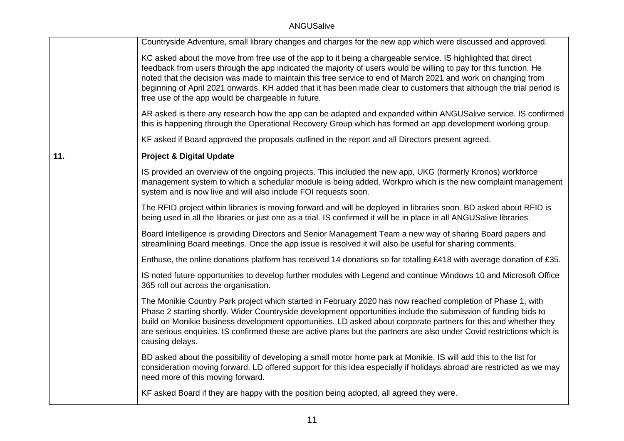|     | Countryside Adventure, small library changes and charges for the new app which were discussed and approved.                                                                                                                                                                                                                                                                                                                                                                                                                       |
|-----|-----------------------------------------------------------------------------------------------------------------------------------------------------------------------------------------------------------------------------------------------------------------------------------------------------------------------------------------------------------------------------------------------------------------------------------------------------------------------------------------------------------------------------------|
|     | KC asked about the move from free use of the app to it being a chargeable service. IS highlighted that direct<br>feedback from users through the app indicated the majority of users would be willing to pay for this function. He<br>noted that the decision was made to maintain this free service to end of March 2021 and work on changing from<br>beginning of April 2021 onwards. KH added that it has been made clear to customers that although the trial period is<br>free use of the app would be chargeable in future. |
|     | AR asked is there any research how the app can be adapted and expanded within ANGUSalive service. IS confirmed<br>this is happening through the Operational Recovery Group which has formed an app development working group.                                                                                                                                                                                                                                                                                                     |
|     | KF asked if Board approved the proposals outlined in the report and all Directors present agreed.                                                                                                                                                                                                                                                                                                                                                                                                                                 |
| 11. | <b>Project &amp; Digital Update</b>                                                                                                                                                                                                                                                                                                                                                                                                                                                                                               |
|     | IS provided an overview of the ongoing projects. This included the new app, UKG (formerly Kronos) workforce<br>management system to which a schedular module is being added, Workpro which is the new complaint management<br>system and is now live and will also include FOI requests soon.                                                                                                                                                                                                                                     |
|     | The RFID project within libraries is moving forward and will be deployed in libraries soon. BD asked about RFID is<br>being used in all the libraries or just one as a trial. IS confirmed it will be in place in all ANGUSalive libraries.                                                                                                                                                                                                                                                                                       |
|     | Board Intelligence is providing Directors and Senior Management Team a new way of sharing Board papers and<br>streamlining Board meetings. Once the app issue is resolved it will also be useful for sharing comments.                                                                                                                                                                                                                                                                                                            |
|     | Enthuse, the online donations platform has received 14 donations so far totalling £418 with average donation of £35.                                                                                                                                                                                                                                                                                                                                                                                                              |
|     | IS noted future opportunities to develop further modules with Legend and continue Windows 10 and Microsoft Office<br>365 roll out across the organisation.                                                                                                                                                                                                                                                                                                                                                                        |
|     | The Monikie Country Park project which started in February 2020 has now reached completion of Phase 1, with<br>Phase 2 starting shortly. Wider Countryside development opportunities include the submission of funding bids to<br>build on Monikie business development opportunities. LD asked about corporate partners for this and whether they<br>are serious enquiries. IS confirmed these are active plans but the partners are also under Covid restrictions which is<br>causing delays.                                   |
|     | BD asked about the possibility of developing a small motor home park at Monikie. IS will add this to the list for<br>consideration moving forward. LD offered support for this idea especially if holidays abroad are restricted as we may<br>need more of this moving forward.                                                                                                                                                                                                                                                   |
|     | KF asked Board if they are happy with the position being adopted, all agreed they were.                                                                                                                                                                                                                                                                                                                                                                                                                                           |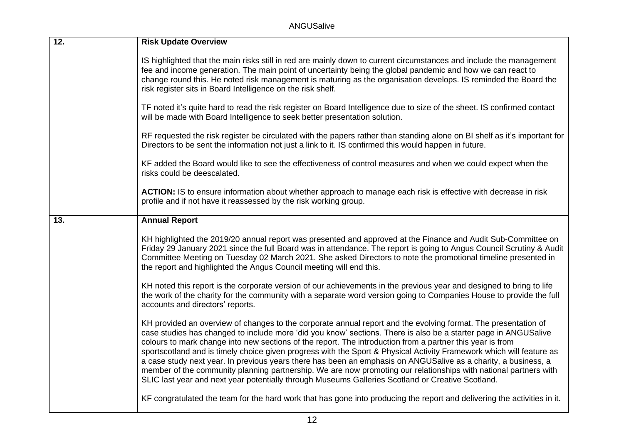ANGUSalive

| 12. | <b>Risk Update Overview</b>                                                                                                                                                                                                                                                                                                                                                                                                                                                                                                                                                                                                                                                                                                                                                                                       |
|-----|-------------------------------------------------------------------------------------------------------------------------------------------------------------------------------------------------------------------------------------------------------------------------------------------------------------------------------------------------------------------------------------------------------------------------------------------------------------------------------------------------------------------------------------------------------------------------------------------------------------------------------------------------------------------------------------------------------------------------------------------------------------------------------------------------------------------|
|     | IS highlighted that the main risks still in red are mainly down to current circumstances and include the management<br>fee and income generation. The main point of uncertainty being the global pandemic and how we can react to<br>change round this. He noted risk management is maturing as the organisation develops. IS reminded the Board the<br>risk register sits in Board Intelligence on the risk shelf.                                                                                                                                                                                                                                                                                                                                                                                               |
|     | TF noted it's quite hard to read the risk register on Board Intelligence due to size of the sheet. IS confirmed contact<br>will be made with Board Intelligence to seek better presentation solution.                                                                                                                                                                                                                                                                                                                                                                                                                                                                                                                                                                                                             |
|     | RF requested the risk register be circulated with the papers rather than standing alone on BI shelf as it's important for<br>Directors to be sent the information not just a link to it. IS confirmed this would happen in future.                                                                                                                                                                                                                                                                                                                                                                                                                                                                                                                                                                                |
|     | KF added the Board would like to see the effectiveness of control measures and when we could expect when the<br>risks could be deescalated.                                                                                                                                                                                                                                                                                                                                                                                                                                                                                                                                                                                                                                                                       |
|     | ACTION: IS to ensure information about whether approach to manage each risk is effective with decrease in risk<br>profile and if not have it reassessed by the risk working group.                                                                                                                                                                                                                                                                                                                                                                                                                                                                                                                                                                                                                                |
| 13. | <b>Annual Report</b>                                                                                                                                                                                                                                                                                                                                                                                                                                                                                                                                                                                                                                                                                                                                                                                              |
|     | KH highlighted the 2019/20 annual report was presented and approved at the Finance and Audit Sub-Committee on<br>Friday 29 January 2021 since the full Board was in attendance. The report is going to Angus Council Scrutiny & Audit<br>Committee Meeting on Tuesday 02 March 2021. She asked Directors to note the promotional timeline presented in<br>the report and highlighted the Angus Council meeting will end this.                                                                                                                                                                                                                                                                                                                                                                                     |
|     | KH noted this report is the corporate version of our achievements in the previous year and designed to bring to life<br>the work of the charity for the community with a separate word version going to Companies House to provide the full<br>accounts and directors' reports.                                                                                                                                                                                                                                                                                                                                                                                                                                                                                                                                   |
|     | KH provided an overview of changes to the corporate annual report and the evolving format. The presentation of<br>case studies has changed to include more 'did you know' sections. There is also be a starter page in ANGUSalive<br>colours to mark change into new sections of the report. The introduction from a partner this year is from<br>sportscotland and is timely choice given progress with the Sport & Physical Activity Framework which will feature as<br>a case study next year. In previous years there has been an emphasis on ANGUSalive as a charity, a business, a<br>member of the community planning partnership. We are now promoting our relationships with national partners with<br>SLIC last year and next year potentially through Museums Galleries Scotland or Creative Scotland. |
|     | KF congratulated the team for the hard work that has gone into producing the report and delivering the activities in it.                                                                                                                                                                                                                                                                                                                                                                                                                                                                                                                                                                                                                                                                                          |